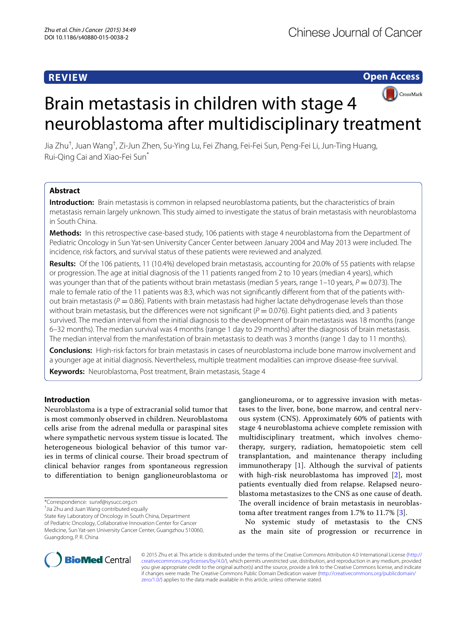# **REVIEW**

**Open Access**



# Brain metastasis in children with stage 4 neuroblastoma after multidisciplinary treatment

Jia Zhu<sup>†</sup>, Juan Wang<sup>†</sup>, Zi-Jun Zhen, Su-Ying Lu, Fei Zhang, Fei-Fei Sun, Peng-Fei Li, Jun-Ting Huang, Rui‑Qing Cai and Xiao‑Fei Sun\*

## **Abstract**

**Introduction:** Brain metastasis is common in relapsed neuroblastoma patients, but the characteristics of brain metastasis remain largely unknown. This study aimed to investigate the status of brain metastasis with neuroblastoma in South China.

**Methods:** In this retrospective case-based study, 106 patients with stage 4 neuroblastoma from the Department of Pediatric Oncology in Sun Yat-sen University Cancer Center between January 2004 and May 2013 were included. The incidence, risk factors, and survival status of these patients were reviewed and analyzed.

**Results:** Of the 106 patients, 11 (10.4%) developed brain metastasis, accounting for 20.0% of 55 patients with relapse or progression. The age at initial diagnosis of the 11 patients ranged from 2 to 10 years (median 4 years), which was younger than that of the patients without brain metastasis (median 5 years, range  $1-10$  years,  $P = 0.073$ ). The male to female ratio of the 11 patients was 8:3, which was not significantly different from that of the patients without brain metastasis ( $P = 0.86$ ). Patients with brain metastasis had higher lactate dehydrogenase levels than those without brain metastasis, but the differences were not significant ( $P = 0.076$ ). Eight patients died, and 3 patients survived. The median interval from the initial diagnosis to the development of brain metastasis was 18 months (range 6–32 months). The median survival was 4 months (range 1 day to 29 months) after the diagnosis of brain metastasis. The median interval from the manifestation of brain metastasis to death was 3 months (range 1 day to 11 months).

**Conclusions:** High-risk factors for brain metastasis in cases of neuroblastoma include bone marrow involvement and a younger age at initial diagnosis. Nevertheless, multiple treatment modalities can improve disease-free survival.

**Keywords:** Neuroblastoma, Post treatment, Brain metastasis, Stage 4

## **Introduction**

Neuroblastoma is a type of extracranial solid tumor that is most commonly observed in children. Neuroblastoma cells arise from the adrenal medulla or paraspinal sites where sympathetic nervous system tissue is located. The heterogeneous biological behavior of this tumor varies in terms of clinical course. Their broad spectrum of clinical behavior ranges from spontaneous regression to differentiation to benign ganglioneuroblastoma or

\*Correspondence: sunxf@sysucc.org.cn

† Jia Zhu and Juan Wang contributed equally

State Key Laboratory of Oncology in South China, Department of Pediatric Oncology, Collaborative Innovation Center for Cancer Medicine, Sun Yat-sen University Cancer Center, Guangzhou 510060, Guangdong, P. R. China

ganglioneuroma, or to aggressive invasion with metastases to the liver, bone, bone marrow, and central nervous system (CNS). Approximately 60% of patients with stage 4 neuroblastoma achieve complete remission with multidisciplinary treatment, which involves chemotherapy, surgery, radiation, hematopoietic stem cell transplantation, and maintenance therapy including immunotherapy [\[1](#page-5-0)]. Although the survival of patients with high-risk neuroblastoma has improved [[2\]](#page-5-1), most patients eventually died from relapse. Relapsed neuroblastoma metastasizes to the CNS as one cause of death. The overall incidence of brain metastasis in neuroblastoma after treatment ranges from 1.7% to 11.7% [\[3](#page-5-2)].

No systemic study of metastasis to the CNS as the main site of progression or recurrence in



© 2015 Zhu et al. This article is distributed under the terms of the Creative Commons Attribution 4.0 International License ([http://](http://creativecommons.org/licenses/by/4.0/) [creativecommons.org/licenses/by/4.0/](http://creativecommons.org/licenses/by/4.0/)), which permits unrestricted use, distribution, and reproduction in any medium, provided you give appropriate credit to the original author(s) and the source, provide a link to the Creative Commons license, and indicate if changes were made. The Creative Commons Public Domain Dedication waiver ([http://creativecommons.org/publicdomain/](http://creativecommons.org/publicdomain/zero/1.0/) [zero/1.0/](http://creativecommons.org/publicdomain/zero/1.0/)) applies to the data made available in this article, unless otherwise stated.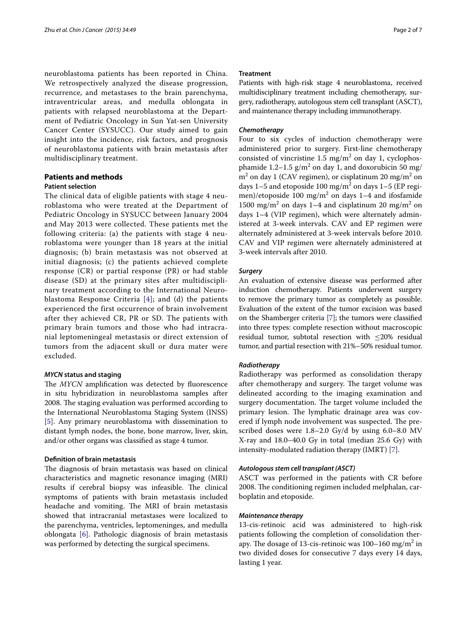neuroblastoma patients has been reported in China. We retrospectively analyzed the disease progression, recurrence, and metastases to the brain parenchyma, intraventricular areas, and medulla oblongata in patients with relapsed neuroblastoma at the Department of Pediatric Oncology in Sun Yat-sen University Cancer Center (SYSUCC). Our study aimed to gain insight into the incidence, risk factors, and prognosis of neuroblastoma patients with brain metastasis after multidisciplinary treatment.

## **Patients and methods**

### **Patient selection**

The clinical data of eligible patients with stage 4 neuroblastoma who were treated at the Department of Pediatric Oncology in SYSUCC between January 2004 and May 2013 were collected. These patients met the following criteria: (a) the patients with stage 4 neuroblastoma were younger than 18 years at the initial diagnosis; (b) brain metastasis was not observed at initial diagnosis; (c) the patients achieved complete response (CR) or partial response (PR) or had stable disease (SD) at the primary sites after multidisciplinary treatment according to the International Neuroblastoma Response Criteria [\[4\]](#page-5-3); and (d) the patients experienced the first occurrence of brain involvement after they achieved CR, PR or SD. The patients with primary brain tumors and those who had intracranial leptomeningeal metastasis or direct extension of tumors from the adjacent skull or dura mater were excluded.

#### *MYCN* **status and staging**

The *MYCN* amplification was detected by fluorescence in situ hybridization in neuroblastoma samples after 2008. The staging evaluation was performed according to the International Neuroblastoma Staging System (INSS) [[5\]](#page-5-4). Any primary neuroblastoma with dissemination to distant lymph nodes, the bone, bone marrow, liver, skin, and/or other organs was classified as stage 4 tumor.

#### **Definition of brain metastasis**

The diagnosis of brain metastasis was based on clinical characteristics and magnetic resonance imaging (MRI) results if cerebral biopsy was infeasible. The clinical symptoms of patients with brain metastasis included headache and vomiting. The MRI of brain metastasis showed that intracranial metastases were localized to the parenchyma, ventricles, leptomeninges, and medulla oblongata [[6\]](#page-5-5). Pathologic diagnosis of brain metastasis was performed by detecting the surgical specimens.

#### **Treatment**

Patients with high-risk stage 4 neuroblastoma, received multidisciplinary treatment including chemotherapy, surgery, radiotherapy, autologous stem cell transplant (ASCT), and maintenance therapy including immunotherapy.

#### *Chemotherapy*

Four to six cycles of induction chemotherapy were administered prior to surgery. First-line chemotherapy consisted of vincristine  $1.5 \text{ mg/m}^2$  on day 1, cyclophosphamide  $1.2-1.5$  g/m<sup>2</sup> on day 1, and doxorubicin 50 mg/  $m<sup>2</sup>$  on day 1 (CAV regimen), or cisplatinum 20 mg/m<sup>2</sup> on days 1–5 and etoposide 100 mg/m<sup>2</sup> on days 1–5 (EP regimen)/etoposide 100  $mg/m^2$  on days 1–4 and ifosfamide 1500 mg/m<sup>2</sup> on days  $1 \sim 4$  and cisplatinum 20 mg/m<sup>2</sup> on days  $1~4$  (VIP regimen), which were alternately administered at 3-week intervals. CAV and EP regimen were alternately administered at 3-week intervals before 2010. CAV and VIP regimen were alternately administered at 3-week intervals after 2010.

#### *Surgery*

An evaluation of extensive disease was performed after induction chemotherapy. Patients underwent surgery to remove the primary tumor as completely as possible. Evaluation of the extent of the tumor excision was based on the Shamberger criteria [[7\]](#page-5-6); the tumors were classified into three types: complete resection without macroscopic residual tumor, subtotal resection with  $\leq$ 20% residual tumor, and partial resection with 21%–50% residual tumor.

#### *Radiotherapy*

Radiotherapy was performed as consolidation therapy after chemotherapy and surgery. The target volume was delineated according to the imaging examination and surgery documentation. The target volume included the primary lesion. The lymphatic drainage area was covered if lymph node involvement was suspected. The prescribed doses were 1.8–2.0 Gy/d by using 6.0–8.0 MV X-ray and 18.0–40.0 Gy in total (median 25.6 Gy) with intensity-modulated radiation therapy (IMRT) [[7](#page-5-6)].

#### *Autologous stem cell transplant (ASCT)*

ASCT was performed in the patients with CR before 2008. The conditioning regimen included melphalan, carboplatin and etoposide.

#### *Maintenance therapy*

13-cis-retinoic acid was administered to high-risk patients following the completion of consolidation therapy. The dosage of 13-cis-retinoic was  $100-160$  mg/m<sup>2</sup> in two divided doses for consecutive 7 days every 14 days, lasting 1 year.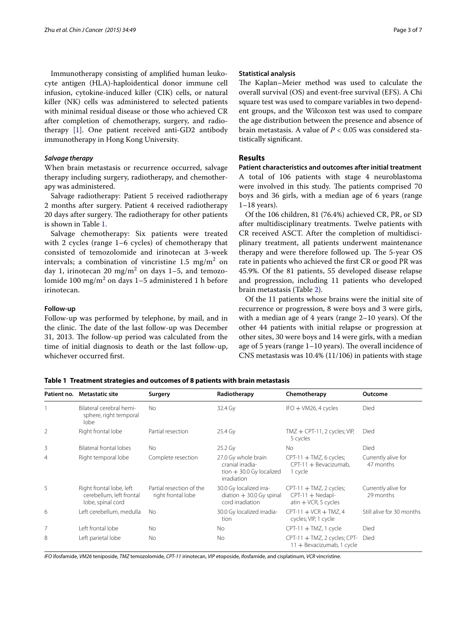Immunotherapy consisting of amplified human leukocyte antigen (HLA)-haploidentical donor immune cell infusion, cytokine-induced killer (CIK) cells, or natural killer (NK) cells was administered to selected patients with minimal residual disease or those who achieved CR after completion of chemotherapy, surgery, and radiotherapy [[1](#page-5-0)]. One patient received anti-GD2 antibody immunotherapy in Hong Kong University.

### *Salvage therapy*

When brain metastasis or recurrence occurred, salvage therapy including surgery, radiotherapy, and chemotherapy was administered.

Salvage radiotherapy: Patient 5 received radiotherapy 2 months after surgery. Patient 4 received radiotherapy 20 days after surgery. The radiotherapy for other patients is shown in Table [1](#page-2-0).

Salvage chemotherapy: Six patients were treated with 2 cycles (range 1–6 cycles) of chemotherapy that consisted of temozolomide and irinotecan at 3-week intervals; a combination of vincristine  $1.5 \, \text{mg/m}^2$  on day 1, irinotecan 20  $\text{mg/m}^2$  on days 1–5, and temozolomide 100 mg/m $^2$  on days 1–5 administered 1 h before irinotecan.

#### **Follow‑up**

Follow-up was performed by telephone, by mail, and in the clinic. The date of the last follow-up was December 31, 2013. The follow-up period was calculated from the time of initial diagnosis to death or the last follow-up, whichever occurred first.

#### **Statistical analysis**

The Kaplan–Meier method was used to calculate the overall survival (OS) and event-free survival (EFS). A Chi square test was used to compare variables in two dependent groups, and the Wilcoxon test was used to compare the age distribution between the presence and absence of brain metastasis. A value of *P* < 0.05 was considered statistically significant.

## **Results**

**Patient characteristics and outcomes after initial treatment** A total of 106 patients with stage 4 neuroblastoma were involved in this study. The patients comprised 70 boys and 36 girls, with a median age of 6 years (range  $1-18$  years).

Of the 106 children, 81 (76.4%) achieved CR, PR, or SD after multidisciplinary treatments. Twelve patients with CR received ASCT. After the completion of multidisciplinary treatment, all patients underwent maintenance therapy and were therefore followed up. The 5-year OS rate in patients who achieved the first CR or good PR was 45.9%. Of the 81 patients, 55 developed disease relapse and progression, including 11 patients who developed brain metastasis (Table [2](#page-3-0)).

Of the 11 patients whose brains were the initial site of recurrence or progression, 8 were boys and 3 were girls, with a median age of 4 years (range 2–10 years). Of the other 44 patients with initial relapse or progression at other sites, 30 were boys and 14 were girls, with a median age of 5 years (range 1–10 years). The overall incidence of CNS metastasis was 10.4% (11/106) in patients with stage

<span id="page-2-0"></span>**Table 1 Treatment strategies and outcomes of 8 patients with brain metastasis**

| Patient no. | <b>Metastatic site</b>                                                    | Surgery                                        | Radiotherapy                                                                         | Chemotherapy                                                                | Outcome                          |
|-------------|---------------------------------------------------------------------------|------------------------------------------------|--------------------------------------------------------------------------------------|-----------------------------------------------------------------------------|----------------------------------|
|             | Bilateral cerebral hemi-<br>sphere, right temporal<br>lobe                | No                                             | 32.4 Gy                                                                              | $IFO + VM26, 4 cycles$                                                      | Died                             |
| 2           | Right frontal lobe                                                        | Partial resection                              | 25.4 Gy                                                                              | $TMZ + CPT-11$ , 2 cycles; VIP,<br>5 cycles                                 | Died                             |
| 3           | Bilateral frontal lobes                                                   | <b>No</b>                                      | 25.2 Gy                                                                              | <b>No</b>                                                                   | Died                             |
| 4           | Right temporal lobe                                                       | Complete resection                             | 27.0 Gy whole brain<br>cranial irradia-<br>$tion + 30.0$ Gy localized<br>irradiation | $CPT-11 + TMZ$ , 6 cycles;<br>CPT-11 + Bevacizumab,<br>1 cycle              | Currently alive for<br>47 months |
| 5           | Right frontal lobe, left<br>cerebellum, left frontal<br>lobe, spinal cord | Partial resection of the<br>right frontal lobe | 30.0 Gy localized irra-<br>$diation + 30.0$ Gy spinal<br>cord irradiation            | $CPT-11 + TMZ$ , 2 cycles;<br>$CPT-11 + Nedapl-$<br>$atin + VCR$ , 5 cycles | Currently alive for<br>29 months |
| 6           | Left cerebellum, medulla                                                  | <b>No</b>                                      | 30.0 Gy localized irradia-<br>tion                                                   | $CPT-11 + VCR + TMZ, 4$<br>cycles; VIP, 1 cycle                             | Still alive for 30 months        |
| 7           | I eft frontal lobe                                                        | No                                             | No                                                                                   | $CPT-11 + TMZ$ , 1 cycle                                                    | Died                             |
| 8           | Left parietal lobe                                                        | <b>No</b>                                      | <b>No</b>                                                                            | $CPT-11 + TMZ$ , 2 cycles; $CPT-$<br>11 + Bevacizumab, 1 cycle              | Died                             |

*IFO* ifosfamide, *VM26* teniposide, *TMZ* temozolomide, *CPT-11* irinotecan, *VIP* etoposide, ifosfamide, and cisplatinum, *VCR* vincristine.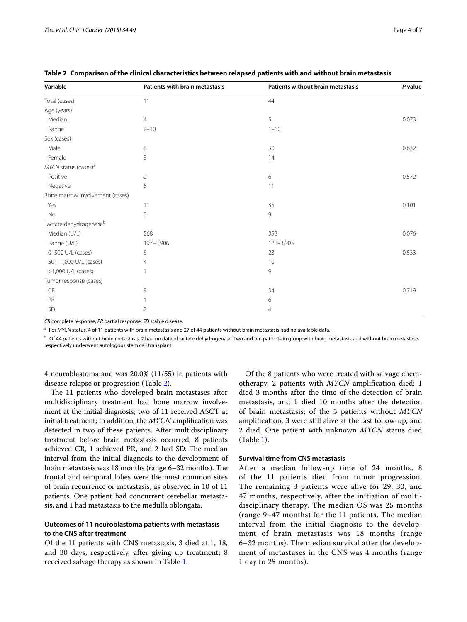| Variable                           | Patients with brain metastasis | Patients without brain metastasis | P value |  |
|------------------------------------|--------------------------------|-----------------------------------|---------|--|
| Total (cases)                      | 11                             | 44                                |         |  |
| Age (years)                        |                                |                                   |         |  |
| Median                             | $\overline{4}$                 | 5                                 | 0.073   |  |
| Range                              | $2 - 10$                       | $1 - 10$                          |         |  |
| Sex (cases)                        |                                |                                   |         |  |
| Male                               | 8                              | 30                                | 0.632   |  |
| Female                             | 3                              | 14                                |         |  |
| MYCN status (cases) <sup>a</sup>   |                                |                                   |         |  |
| Positive                           | $\overline{2}$                 | 6                                 | 0.572   |  |
| Negative                           | 5                              | 11                                |         |  |
| Bone marrow involvement (cases)    |                                |                                   |         |  |
| Yes                                | 11                             | 35                                | 0.101   |  |
| No                                 | $\mathbf 0$                    | 9                                 |         |  |
| Lactate dehydrogenase <sup>b</sup> |                                |                                   |         |  |
| Median (U/L)                       | 568                            | 353                               | 0.076   |  |
| Range (U/L)                        | 197-3,906                      | 188-3,903                         |         |  |
| 0-500 U/L (cases)                  | 6                              | 23                                | 0.533   |  |
| 501-1,000 U/L (cases)              | $\overline{4}$                 | 10                                |         |  |
| $>1,000$ U/L (cases)               | $\mathbf{1}$                   | 9                                 |         |  |
| Tumor response (cases)             |                                |                                   |         |  |
| <b>CR</b>                          | 8                              | 34                                | 0.719   |  |
| PR                                 | 1                              | 6                                 |         |  |
| SD                                 | $\overline{2}$                 | 4                                 |         |  |

<span id="page-3-0"></span>

| Table 2 Comparison of the clinical characteristics between relapsed patients with and without brain metastasis |  |  |  |  |  |  |  |  |
|----------------------------------------------------------------------------------------------------------------|--|--|--|--|--|--|--|--|
|----------------------------------------------------------------------------------------------------------------|--|--|--|--|--|--|--|--|

*CR* complete response, *PR* partial response, *SD* stable disease.

<sup>a</sup> For *MYCN* status, 4 of 11 patients with brain metastasis and 27 of 44 patients without brain metastasis had no available data.

 $b$  Of 44 patients without brain metastasis, 2 had no data of lactate dehydrogenase. Two and ten patients in group with brain metastasis and without brain metastasis respectively underwent autologous stem cell transplant.

4 neuroblastoma and was 20.0% (11/55) in patients with disease relapse or progression (Table [2\)](#page-3-0).

The 11 patients who developed brain metastases after multidisciplinary treatment had bone marrow involvement at the initial diagnosis; two of 11 received ASCT at initial treatment; in addition, the *MYCN* amplification was detected in two of these patients. After multidisciplinary treatment before brain metastasis occurred, 8 patients achieved CR, 1 achieved PR, and 2 had SD. The median interval from the initial diagnosis to the development of brain metastasis was 18 months (range 6–32 months). The frontal and temporal lobes were the most common sites of brain recurrence or metastasis, as observed in 10 of 11 patients. One patient had concurrent cerebellar metastasis, and 1 had metastasis to the medulla oblongata.

## **Outcomes of 11 neuroblastoma patients with metastasis to the CNS after treatment**

Of the 11 patients with CNS metastasis, 3 died at 1, 18, and 30 days, respectively, after giving up treatment; 8 received salvage therapy as shown in Table [1](#page-2-0).

Of the 8 patients who were treated with salvage chemotherapy, 2 patients with *MYCN* amplification died: 1 died 3 months after the time of the detection of brain metastasis, and 1 died 10 months after the detection of brain metastasis; of the 5 patients without *MYCN* amplification, 3 were still alive at the last follow-up, and 2 died. One patient with unknown *MYCN* status died (Table [1\)](#page-2-0).

#### **Survival time from CNS metastasis**

After a median follow-up time of 24 months, 8 of the 11 patients died from tumor progression. The remaining 3 patients were alive for 29, 30, and 47 months, respectively, after the initiation of multidisciplinary therapy. The median OS was 25 months (range 9–47 months) for the 11 patients. The median interval from the initial diagnosis to the development of brain metastasis was 18 months (range 6–32 months). The median survival after the development of metastases in the CNS was 4 months (range 1 day to 29 months).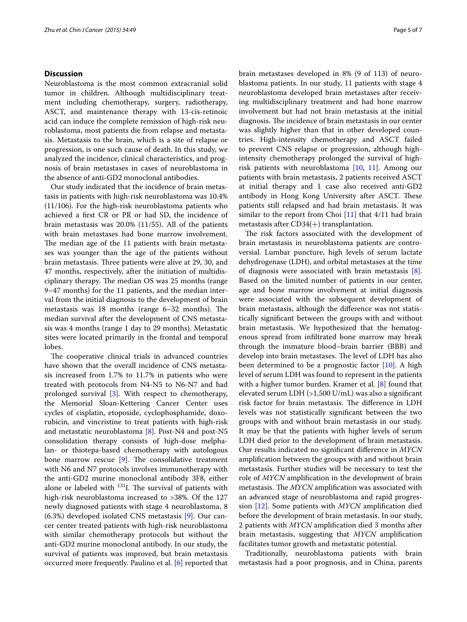#### **Discussion**

Neuroblastoma is the most common extracranial solid tumor in children. Although multidisciplinary treatment including chemotherapy, surgery, radiotherapy, ASCT, and maintenance therapy with 13-cis-retinoic acid can induce the complete remission of high-risk neuroblastoma, most patients die from relapse and metastasis. Metastasis to the brain, which is a site of relapse or progression, is one such cause of death. In this study, we analyzed the incidence, clinical characteristics, and prognosis of brain metastases in cases of neuroblastoma in the absence of anti-GD2 monoclonal antibodies.

Our study indicated that the incidence of brain metastasis in patients with high-risk neuroblastoma was 10.4% (11/106). For the high-risk neuroblastoma patients who achieved a first CR or PR or had SD, the incidence of brain metastasis was 20.0% (11/55). All of the patients with brain metastases had bone marrow involvement. The median age of the 11 patients with brain metastases was younger than the age of the patients without brain metastasis. Three patients were alive at 29, 30, and 47 months, respectively, after the initiation of multidisciplinary therapy. The median OS was 25 months (range 9–47 months) for the 11 patients, and the median interval from the initial diagnosis to the development of brain metastasis was 18 months (range 6–32 months). The median survival after the development of CNS metastasis was 4 months (range 1 day to 29 months). Metastatic sites were located primarily in the frontal and temporal lobes.

The cooperative clinical trials in advanced countries have shown that the overall incidence of CNS metastasis increased from 1.7% to 11.7% in patients who were treated with protocols from N4-N5 to N6-N7 and had prolonged survival [[3\]](#page-5-2). With respect to chemotherapy, the Memorial Sloan-Kettering Cancer Center uses cycles of cisplatin, etoposide, cyclophosphamide, doxorubicin, and vincristine to treat patients with high-risk and metastatic neuroblastoma [[8](#page-5-7)]. Post-N4 and post-N5 consolidation therapy consists of high-dose melphalan- or thiotepa-based chemotherapy with autologous bone marrow rescue [[9\]](#page-5-8). The consolidative treatment with N6 and N7 protocols involves immunotherapy with the anti-GD2 murine monoclonal antibody 3F8, either alone or labeled with  $131$ I. The survival of patients with high-risk neuroblastoma increased to >38%. Of the 127 newly diagnosed patients with stage 4 neuroblastoma, 8 (6.3%) developed isolated CNS metastasis [\[9](#page-5-8)]. Our cancer center treated patients with high-risk neuroblastoma with similar chemotherapy protocols but without the anti-GD2 murine monoclonal antibody. In our study, the survival of patients was improved, but brain metastasis occurred more frequently. Paulino et al. [\[6](#page-5-5)] reported that brain metastases developed in 8% (9 of 113) of neuroblastoma patients. In our study, 11 patients with stage 4 neuroblastoma developed brain metastases after receiving multidisciplinary treatment and had bone marrow involvement but had not brain metastasis at the initial diagnosis. The incidence of brain metastasis in our center was slightly higher than that in other developed countries. High-intensity chemotherapy and ASCT failed to prevent CNS relapse or progression, although highintensity chemotherapy prolonged the survival of highrisk patients with neuroblastoma [\[10,](#page-5-9) [11](#page-5-10)]. Among our patients with brain metastasis, 2 patients received ASCT at initial therapy and 1 case also received anti-GD2 antibody in Hong Kong University after ASCT. These patients still relapsed and had brain metastasis. It was similar to the report from Choi  $[11]$  $[11]$  that 4/11 had brain metastasis after CD34(+) transplantation.

The risk factors associated with the development of brain metastasis in neuroblastoma patients are controversial. Lumbar puncture, high levels of serum lactate dehydrogenase (LDH), and orbital metastases at the time of diagnosis were associated with brain metastasis [\[8](#page-5-7)]. Based on the limited number of patients in our center, age and bone marrow involvement at initial diagnosis were associated with the subsequent development of brain metastasis, although the difference was not statistically significant between the groups with and without brain metastasis. We hypothesized that the hematogenous spread from infiltrated bone marrow may break through the immature blood–brain barrier (BBB) and develop into brain metastases. The level of LDH has also been determined to be a prognostic factor [[10\]](#page-5-9). A high level of serum LDH was found to represent in the patients with a higher tumor burden. Kramer et al. [[8\]](#page-5-7) found that elevated serum LDH  $(>1,500 \text{ U/mL})$  was also a significant risk factor for brain metastasis. The difference in LDH levels was not statistically significant between the two groups with and without brain metastasis in our study. It may be that the patients with higher levels of serum LDH died prior to the development of brain metastasis. Our results indicated no significant difference in *MYCN* amplification between the groups with and without brain metastasis. Further studies will be necessary to test the role of *MYCN* amplification in the development of brain metastasis. The *MYCN* amplification was associated with an advanced stage of neuroblastoma and rapid progression [\[12](#page-5-11)]. Some patients with *MYCN* amplification died before the development of brain metastasis. In our study, 2 patients with *MYCN* amplification died 3 months after brain metastasis, suggesting that *MYCN* amplification facilitates tumor growth and metastatic potential.

Traditionally, neuroblastoma patients with brain metastasis had a poor prognosis, and in China, parents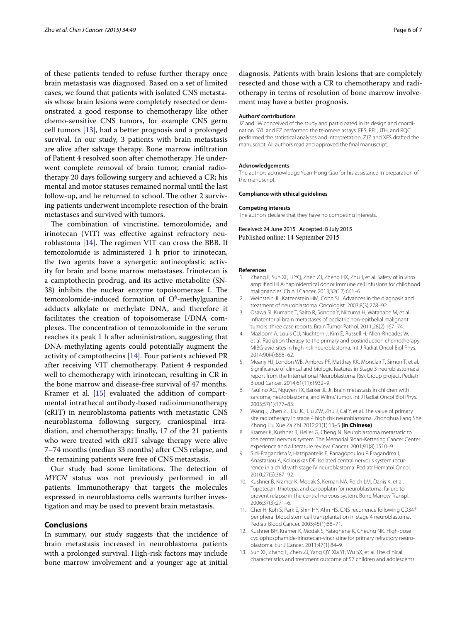of these patients tended to refuse further therapy once brain metastasis was diagnosed. Based on a set of limited cases, we found that patients with isolated CNS metastasis whose brain lesions were completely resected or demonstrated a good response to chemotherapy like other chemo-sensitive CNS tumors, for example CNS germ cell tumors [\[13\]](#page-5-12), had a better prognosis and a prolonged survival. In our study, 3 patients with brain metastasis are alive after salvage therapy. Bone marrow infiltration of Patient 4 resolved soon after chemotherapy. He underwent complete removal of brain tumor, cranial radiotherapy 20 days following surgery and achieved a CR; his mental and motor statuses remained normal until the last follow-up, and he returned to school. The other 2 surviving patients underwent incomplete resection of the brain metastases and survived with tumors.

The combination of vincristine, temozolomide, and irinotecan (VIT) was effective against refractory neuroblastoma [\[14\]](#page-6-0). The regimen VIT can cross the BBB. If temozolomide is administered 1 h prior to irinotecan, the two agents have a synergetic antineoplastic activity for brain and bone marrow metastases. Irinotecan is a camptothecin prodrug, and its active metabolite (SN-38) inhibits the nuclear enzyme topoisomerase I. The temozolomide-induced formation of O<sup>6</sup>-methylguanine adducts alkylate or methylate DNA, and therefore it facilitates the creation of topoisomerase I/DNA complexes. The concentration of temozolomide in the serum reaches its peak 1 h after administration, suggesting that DNA-methylating agents could potentially augment the activity of camptothecins [[14\]](#page-6-0). Four patients achieved PR after receiving VIT chemotherapy. Patient 4 responded well to chemotherapy with irinotecan, resulting in CR in the bone marrow and disease-free survival of 47 months. Kramer et al. [\[15\]](#page-6-1) evaluated the addition of compartmental intrathecal antibody-based radioimmunotherapy (cRIT) in neuroblastoma patients with metastatic CNS neuroblastoma following surgery, craniospinal irradiation, and chemotherapy; finally, 17 of the 21 patients who were treated with cRIT salvage therapy were alive 7–74 months (median 33 months) after CNS relapse, and the remaining patients were free of CNS metastasis.

Our study had some limitations. The detection of *MYCN* status was not previously performed in all patients. Immunotherapy that targets the molecules expressed in neuroblastoma cells warrants further investigation and may be used to prevent brain metastasis.

#### **Conclusions**

In summary, our study suggests that the incidence of brain metastasis increased in neuroblastoma patients with a prolonged survival. High-risk factors may include bone marrow involvement and a younger age at initial diagnosis. Patients with brain lesions that are completely resected and those with a CR to chemotherapy and radiotherapy in terms of resolution of bone marrow involvement may have a better prognosis.

#### **Authors' contributions**

JZ and JW conceived of the study and participated in its design and coordination. SYL and FZ performed the telomere assays. FFS, PFL, JTH, and RQC performed the statistical analyses and interpretation. ZJZ and XFS drafted the manuscript. All authors read and approved the final manuscript.

#### **Acknowledgements**

The authors acknowledge Yuan-Hong Gao for his assistance in preparation of the manuscript.

#### **Compliance with ethical guidelines**

#### **Competing interests**

The authors declare that they have no competing interests.

Received: 24 June 2015 Accepted: 8 July 2015 Published online: 14 September 2015

#### **References**

- <span id="page-5-0"></span>Zhang F, Sun XF, Li YQ, Zhen ZJ, Zheng HX, Zhu J, et al. Safety of in vitro amplified HLA-haploidentical donor immune cell infusions for childhood malignancies. Chin J Cancer. 2013;32(12):661–6.
- <span id="page-5-1"></span>2. Weinstein JL, Katzenstein HM, Cohn SL. Advances in the diagnosis and treatment of neuroblastoma. Oncologist. 2003;8(3):278–92.
- <span id="page-5-2"></span>3. Osawa SI, Kumabe T, Saito R, Sonoda Y, Niizuma H, Watanabe M, et al. Infratentorial brain metastases of pediatric non-epithelial malignant tumors: three case reports. Brain Tumor Pathol. 2011;28(2):167–74.
- <span id="page-5-3"></span>4. Mazloom A, Louis CU, Nuchtern J, Kim E, Russell H, Allen-Rhoades W, et al. Radiation therapy to the primary and postinduction chemotherapy MIBG-avid sites in high-risk neuroblastoma. Int J Radiat Oncol Biol Phys. 2014;90(4):858–62.
- <span id="page-5-4"></span>5. Meany HJ, London WB, Ambros PF, Matthay KK, Monclair T, Simon T, et al. Significance of clinical and biologic features in Stage 3 neuroblastoma: a report from the International Neuroblastoma Risk Group project. Pediatr Blood Cancer. 2014;61(11):1932–9.
- <span id="page-5-5"></span>6. Paulino AC, Nguyen TX, Barker JL Jr. Brain metastasis in children with sarcoma, neuroblastoma, and Wilms' tumor. Int J Radiat Oncol Biol Phys. 2003;57(1):177–83.
- <span id="page-5-6"></span>7. Wang J, Zhen ZJ, Liu JC, Liu ZW, Zhu J, Cai Y, et al. The value of primary site radiotherapy in stage 4 high risk neuroblastoma. Zhonghua Fang She Zhong Liu Xue Za Zhi. 2012;21(1):13–5 **(in Chinese)**.
- <span id="page-5-7"></span>8. Kramer K, Kushner B, Heller G, Cheng N. Neuroblastoma metastatic to the central nervous system. The Memorial Sloan-Kettering Cancer Center experience and a literature review. Cancer. 2001;91(8):1510–9.
- <span id="page-5-8"></span>9. Sidi-Fragandrea V, Hatzipantelis E, Panagopoulou P, Fragandrea I, Anastasiou A, Koliouskas DE. Isolated central nervous system recurrence in a child with stage IV neuroblastoma. Pediatr Hematol Oncol. 2010;27(5):387–92.
- <span id="page-5-9"></span>10. Kushner B, Kramer K, Modak S, Kernan NA, Reich LM, Danis K, et al. Topotecan, thiotepa, and carboplatin for neuroblastoma: failure to prevent relapse in the central nervous system. Bone Marrow Transpl. 2006;37(3):271–6.
- <span id="page-5-10"></span>11. Choi H, Koh S, Park E, Shin HY, Ahn HS. CNS recurrence following CD34<sup>+</sup> peripheral blood stem cell transplantation in stage 4 neuroblastoma. Pediatr Blood Cancer. 2005;45(1):68–71.
- <span id="page-5-11"></span>12. Kushner BH, Kramer K, Modak S, Yataghene K, Cheung NK. High-dose cyclophosphamide-irinotecan-vincristine for primary refractory neuroblastoma. Eur J Cancer. 2011;47(1):84–9.
- <span id="page-5-12"></span>13. Sun XF, Zhang F, Zhen ZJ, Yang QY, Xia YF, Wu SX, et al. The clinical characteristics and treatment outcome of 57 children and adolescents